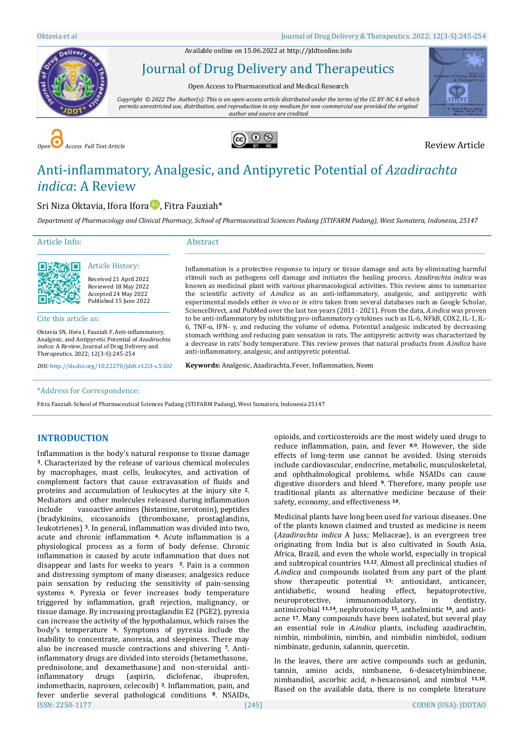Available online on 15.06.2022 a[t http://jddtonline.info](http://jddtonline.info/)



Journal of Drug Delivery and Therapeutics

Open Access to Pharmaceutical and Medical Research

*Copyright © 2022 The Author(s): This is an open-access article distributed under the terms of the CC BY-NC 4.0 which permits unrestricted use, distribution, and reproduction in any medium for non-commercial use provided the original author and source are credited*



*Open Access Full Text Article* Review Article



# Anti-inflammatory, Analgesic, and Antipyretic Potential of *Azadirachta indica*: A Review

# Sri Niza Oktavia[,](https://orcid.org/0000-0001-8790-9476) Ifora Ifora **D**, Fitra Fauziah\*

*Department of Pharmacology and Clinical Pharmacy, School of Pharmaceutical Sciences Padang (STIFARM Padang), West Sumatera, Indonesia, 25147*

anti-inflammatory, analgesic, and antipyretic potential. **Keywords:** Analgesic, Azadirachta, Fever, Inflammation, Neem

\_\_\_\_\_\_\_\_\_\_\_\_\_\_\_\_\_\_\_\_\_\_\_\_\_\_\_\_\_\_\_\_\_\_\_\_\_\_\_\_\_\_\_\_\_\_\_\_\_\_\_\_\_\_\_\_\_\_\_\_\_\_\_\_\_\_\_\_\_\_\_\_\_\_\_\_\_\_\_\_\_\_\_\_\_\_\_\_\_\_\_\_\_\_\_\_\_\_\_\_\_\_\_\_\_\_\_\_\_\_\_\_\_\_\_

Inflammation is a protective response to injury or tissue damage and acts by eliminating harmful stimuli such as pathogens cell damage and initiates the healing process. *Azadirachta indica* was known as medicinal plant with various pharmacological activities. This review aims to summarize the scientific activity of *A.indica* as an anti-inflammatory, analgesic, and antipyretic with experimental models either *in vivo* or *in vitro* taken from several databases such as Google Scholar, ScienceDirect, and PubMed over the last ten years (2011- 2021). From the data, *A.indica* was proven to be anti-inflammatory by inhibiting pro-inflammatory cytokines such as IL-6, NFkB, COX2, IL-1, IL-6, TNF-α, IFN- γ, and reducing the volume of edema. Potential analgesic indicated by decreasing stomach writhing and reducing pain sensation in rats. The antipyretic activity was characterized by a decrease in rats' body temperature. This review proves that natural products from *A.indica* have

Article Info:

Abstract



# Article History:

\_\_\_\_\_\_\_\_\_\_\_\_\_\_\_\_\_\_\_\_\_\_\_\_\_\_\_\_\_\_\_\_\_\_\_\_\_\_\_\_\_\_\_\_\_

Received 21 April 2022 Reviewed 18 May 2022 Accepted 24 May 2022 Published 15 June 2022

Cite this article as:

Oktavia SN, Ifora I, Fauziah F,Anti-inflammatory, Analgesic, and Antipyretic Potential of *Azadirachta indica*: A Review, Journal of Drug Delivery and Therapeutics. 2022; 12(3-S):245-254

*DOI:* [http://dx.doi.org/10.22270/jddt.v12i3-s.5](http://dx.doi.org/10.22270/jddt.v12i3-s.5502)*502*

#### \*Address for Correspondence:

Fitra Fauziah, School of Pharmaceutical Sciences Padang (STIFARM Padang), West Sumatera, Indonesia 25147

# **INTRODUCTION**

ISSN: 2250-1177 [245] CODEN (USA): JDDTAO Inflammation is the body's natural response to tissue damage **<sup>1</sup>**. Characterized by the release of various chemical molecules by macrophages, mast cells, leukocytes, and activation of complement factors that cause extravasation of fluids and proteins and accumulation of leukocytes at the injury site **<sup>2</sup>**. Mediators and other molecules released during inflammation include vasoactive amines (histamine, serotonin), peptides (bradykinins, eicosanoids (thromboxane, prostaglandins, leukotrienes) **<sup>3</sup>**. In general, inflammation was divided into two, acute and chronic inflammation **<sup>4</sup>**. Acute inflammation is a physiological process as a form of body defense. Chronic inflammation is caused by acute inflammation that does not disappear and lasts for weeks to years **5**. Pain is a common and distressing symptom of many diseases; analgesics reduce pain sensation by reducing the sensitivity of pain-sensing systems **6**. Pyrexia or fever increases body temperature triggered by inflammation, graft rejection, malignancy, or tissue damage. By increasing prostaglandin E2 (PGE2), pyrexia can increase the activity of the hypothalamus, which raises the body's temperature **6**. Symptoms of pyrexia include the inability to concentrate, anorexia, and sleepiness. There may also be increased muscle contractions and shivering **7**. Antiinflammatory drugs are divided into steroids (betamethasone, prednisolone, and dexamethasone) and non-steroidal antiinflammatory drugs (aspirin, diclofenac, ibuprofen, indomethacin, naproxen, celecoxib) **3**. Inflammation, pain, and fever underlie several pathological conditions **<sup>8</sup>**. NSAIDs,

opioids, and corticosteroids are the most widely used drugs to reduce inflammation, pain, and fever **8,9**. However, the side effects of long-term use cannot be avoided. Using steroids include cardiovascular, endocrine, metabolic, musculoskeletal, and ophthalmological problems, while NSAIDs can cause digestive disorders and bleed **<sup>9</sup>**. Therefore, many people use traditional plants as alternative medicine because of their safety, economy, and effectiveness **<sup>10</sup>**.

Medicinal plants have long been used for various diseases. One of the plants known claimed and trusted as medicine is neem (*Azadirachta indica* A Juss; Meliaceae), is an evergreen tree originating from India but is also cultivated in South Asia, Africa, Brazil, and even the whole world, especially in tropical and subtropical countries **11,12**. Almost all preclinical studies of *A.indica* and compounds isolated from any part of the plant show therapeutic potential **<sup>13</sup>**: antioxidant, anticancer, antidiabetic, wound healing effect, hepatoprotective, neuroprotective, immunomodulatory, in dentistry, antimicrobial **11,14**, nephrotoxicity **<sup>15</sup>**, anthelmintic **<sup>16</sup>**, and antiacne **<sup>17</sup>**. Many compounds have been isolated, but several play an essential role in *A.indica* plants, including azadirachtin, nimbin, nimbolinin, nimbin, and nimbidin nimbidol, sodium nimbinate, gedunin, salannin, quercetin.

In the leaves, there are active compounds such as gedunin, tannin, amino acids, nimbanene, 6-desacetylnimbinene, nimbandiol, ascorbic acid, *n*-hexacosanol, and nimbiol **11,18**. Based on the available data, there is no complete literature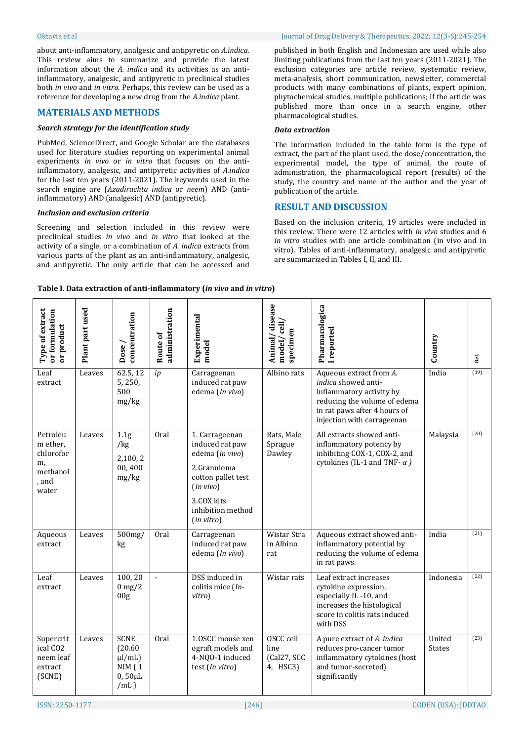about anti-inflammatory, analgesic and antipyretic on *A.indica*. This review aims to summarize and provide the latest information about the *A. indica* and its activities as an antiinflammatory, analgesic, and antipyretic in preclinical studies both *in vivo* and *in vitro*. Perhaps, this review can be used as a reference for developing a new drug from the *A.indica* plant*.*

# **MATERIALS AND METHODS**

#### *Search strategy for the identification study*

PubMed, ScienceDirect, and Google Scholar are the databases used for literature studies reporting on experimental animal experiments *in vivo* or *in vitro* that focuses on the antiinflammatory, analgesic, and antipyretic activities of *A.indica*  for the last ten years (2011-2021). The keywords used in the search engine are (*Azadirachta indica* or *neem*) AND (antiinflammatory) AND (analgesic) AND (antipyretic).

#### *Inclusion and exclusion criteria*

Screening and selection included in this review were preclinical studies *in vivo* and *in vitro* that looked at the activity of a single, or a combination of *A. indica* extracts from various parts of the plant as an anti-inflammatory, analgesic, and antipyretic. The only article that can be accessed and published in both English and Indonesian are used while also limiting publications from the last ten years (2011-2021). The exclusion categories are article review, systematic review, meta-analysis, short communication, newsletter, commercial products with many combinations of plants, expert opinion, phytochemical studies, multiple publications; if the article was published more than once in a search engine, other pharmacological studies.

#### *Data extraction*

The information included in the table form is the type of extract, the part of the plant used, the dose/concentration, the experimental model, the type of animal, the route of administration, the pharmacological report (results) of the study, the country and name of the author and the year of publication of the article.

# **RESULT AND DISCUSSION**

Based on the inclusion criteria, 19 articles were included in this review. There were 12 articles with *in vivo* studies and 6 *in vitro* studies with one article combination (in vivo and in vitro). Tables of anti-inflammatory, analgesic and antipyretic are summarized in Tables I, II, and III.

#### **Table I. Data extraction of anti-inflammatory (***in vivo* **and** *in vitro***)**

| Type of extract<br>or formulation<br>or product                       | Plant part used | concentration<br>Dose                                                         | administration<br>Route of | Experimental<br>model                                                                                                                                   | disease<br>model/cell,<br>specimen<br>Animal/ | Pharmacologica<br><b>I</b> reported                                                                                                                                             | Country                 | Ref. |
|-----------------------------------------------------------------------|-----------------|-------------------------------------------------------------------------------|----------------------------|---------------------------------------------------------------------------------------------------------------------------------------------------------|-----------------------------------------------|---------------------------------------------------------------------------------------------------------------------------------------------------------------------------------|-------------------------|------|
| Leaf<br>extract                                                       | Leaves          | 62.5, 12<br>5,250,<br>500<br>mg/kg                                            | ip                         | Carrageenan<br>induced rat paw<br>edema (In vivo)                                                                                                       | Albino rats                                   | Aqueous extract from A.<br><i>indica</i> showed anti-<br>inflammatory activity by<br>reducing the volume of edema<br>in rat paws after 4 hours of<br>injection with carrageenan | India                   | (19) |
| Petroleu<br>m ether.<br>chlorofor<br>m,<br>methanol<br>, and<br>water | Leaves          | 1.1 <sub>g</sub><br>/kg<br>2,100,2<br>00,400<br>mg/kg                         | Oral                       | 1. Carrageenan<br>induced rat paw<br>edema (in vivo)<br>2.Granuloma<br>cotton pallet test<br>(In vivo)<br>3.COX kits<br>inhibition method<br>(in vitro) | Rats, Male<br>Sprague<br>Dawley               | All extracts showed anti-<br>inflammatory potency by<br>inhibiting COX-1, COX-2, and<br>cytokines (IL-1 and TNF- $\alpha$ )                                                     | Malaysia                | (20) |
| Aqueous<br>extract                                                    | Leaves          | 500mg/<br>kg                                                                  | 0ral                       | Carrageenan<br>induced rat paw<br>edema (In vivo)                                                                                                       | Wistar Stra<br>in Albino<br>rat               | Aqueous extract showed anti-<br>inflammatory potential by<br>reducing the volume of edema<br>in rat paws.                                                                       | India                   | (21) |
| Leaf<br>extract                                                       | Leaves          | 100,20<br>$0 \text{ mg}/2$<br>00 <sub>g</sub>                                 | $\Box$                     | DSS induced in<br>colitis mice (In-<br>vitro)                                                                                                           | Wistar rats                                   | Leaf extract increases<br>cytokine expression,<br>especially IL-10, and<br>increases the histological<br>score in colitis rats induced<br>with DSS                              | Indonesia               | (22) |
| Supercrit<br>ical CO <sub>2</sub><br>neem leaf<br>extract<br>(SCNE)   | Leaves          | <b>SCNE</b><br>(20.60)<br>$\mu$ /mL)<br><b>NIM</b> (1<br>$0,50 \mu L$<br>/mL) | Oral                       | 1.0SCC mouse xen<br>ograft models and<br>4-NQO-1 induced<br>test (In vitro)                                                                             | OSCC cell<br>line<br>(Cal27, SCC<br>4, HSC3)  | A pure extract of A. indica<br>reduces pro-cancer tumor<br>inflammatory cytokines (host<br>and tumor-secreted)<br>significantly                                                 | United<br><b>States</b> | (23) |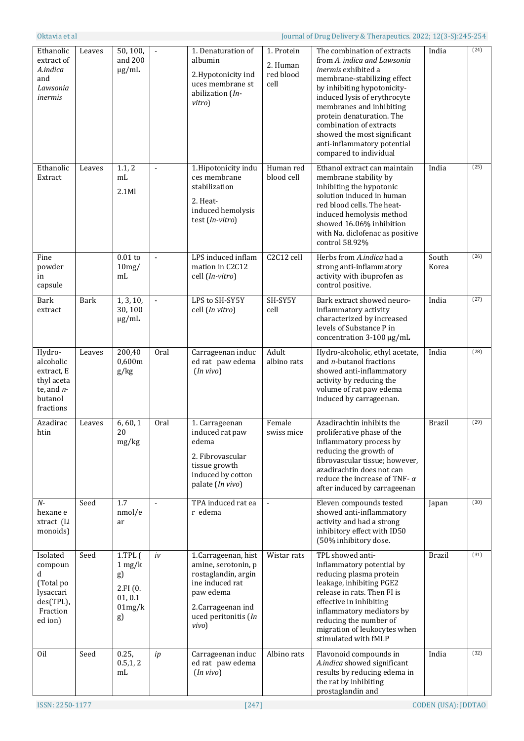| Ethanolic<br>extract of<br>A.indica<br>and<br>Lawsonia<br>inermis                         | Leaves      | 50, 100,<br>and 200<br>$\mu$ g/mL                                            | $\blacksquare$ | 1. Denaturation of<br>albumin<br>2.Hypotonicity ind<br>uces membrane st<br>abilization (In-<br>vitro)                                                   | 1. Protein<br>2. Human<br>red blood<br>cell | The combination of extracts<br>from A. indica and Lawsonia<br><i>inermis</i> exhibited a<br>membrane-stabilizing effect<br>by inhibiting hypotonicity-<br>induced lysis of erythrocyte<br>membranes and inhibiting<br>protein denaturation. The<br>combination of extracts<br>showed the most significant<br>anti-inflammatory potential<br>compared to individual | India          | (24) |
|-------------------------------------------------------------------------------------------|-------------|------------------------------------------------------------------------------|----------------|---------------------------------------------------------------------------------------------------------------------------------------------------------|---------------------------------------------|--------------------------------------------------------------------------------------------------------------------------------------------------------------------------------------------------------------------------------------------------------------------------------------------------------------------------------------------------------------------|----------------|------|
| Ethanolic<br>Extract                                                                      | Leaves      | 1.1, 2<br>mL<br>2.1Ml                                                        | $\overline{a}$ | 1.Hipotonicity indu<br>ces membrane<br>stabilization<br>2. Heat-<br>induced hemolysis<br>test (In-vitro)                                                | Human red<br>blood cell                     | Ethanol extract can maintain<br>membrane stability by<br>inhibiting the hypotonic<br>solution induced in human<br>red blood cells. The heat-<br>induced hemolysis method<br>showed 16.06% inhibition<br>with Na. diclofenac as positive<br>control 58.92%                                                                                                          | India          | (25) |
| Fine<br>powder<br>in<br>capsule                                                           |             | $0.01$ to<br>10mg/<br>m <sub>L</sub>                                         | $\blacksquare$ | LPS induced inflam<br>mation in C2C12<br>cell (In-vitro)                                                                                                | C <sub>2</sub> C <sub>12</sub> cell         | Herbs from A.indica had a<br>strong anti-inflammatory<br>activity with ibuprofen as<br>control positive.                                                                                                                                                                                                                                                           | South<br>Korea | (26) |
| <b>Bark</b><br>extract                                                                    | <b>Bark</b> | 1, 3, 10,<br>30,100<br>$\mu$ g/mL                                            | $\blacksquare$ | LPS to SH-SY5Y<br>cell (In vitro)                                                                                                                       | SH-SY5Y<br>cell                             | Bark extract showed neuro-<br>inflammatory activity<br>characterized by increased<br>levels of Substance P in<br>concentration 3-100 µg/mL                                                                                                                                                                                                                         | India          | (27) |
| Hydro-<br>alcoholic<br>extract, E<br>thyl aceta<br>te, and $n-$<br>butanol<br>fractions   | Leaves      | 200,40<br>0,600m<br>g/kg                                                     | Oral           | Carrageenan induc<br>ed rat paw edema<br>(In vivo)                                                                                                      | Adult<br>albino rats                        | Hydro-alcoholic, ethyl acetate,<br>and <i>n</i> -butanol fractions<br>showed anti-inflammatory<br>activity by reducing the<br>volume of rat paw edema<br>induced by carrageenan.                                                                                                                                                                                   | India          | (28) |
| Azadirac<br>htin                                                                          | Leaves      | 6, 60, 1<br>20<br>mg/kg                                                      | Oral           | 1. Carrageenan<br>induced rat paw<br>edema<br>2. Fibrovascular<br>tissue growth<br>induced by cotton<br>palate (In vivo)                                | Female<br>swiss mice                        | Azadirachtin inhibits the<br>proliferative phase of the<br>inflammatory process by<br>reducing the growth of<br>fibrovascular tissue; however,<br>azadirachtin does not can<br>reduce the increase of TNF- $\alpha$<br>after induced by carrageenan                                                                                                                | <b>Brazil</b>  | (29) |
| $N-$<br>hexane e<br>xtract (Li<br>monoids)                                                | Seed        | 1.7<br>nmol/e<br>ar                                                          | $\blacksquare$ | TPA induced rat ea<br>r edema                                                                                                                           | $\blacksquare$                              | Eleven compounds tested<br>showed anti-inflammatory<br>activity and had a strong<br>inhibitory effect with ID50<br>(50% inhibitory dose.                                                                                                                                                                                                                           | Japan          | (30) |
| Isolated<br>compoun<br>d<br>(Total po<br>lysaccari<br>$des(TPL)$ ,<br>Fraction<br>ed ion) | Seed        | $1.$ TPL $($<br>$1 \text{ mg}/k$<br>g)<br>2.FI(0.<br>01, 0.1<br>01mg/k<br>g) | iv             | 1.Carrageenan, hist<br>amine, serotonin, p<br>rostaglandin, argin<br>ine induced rat<br>paw edema<br>2.Carrageenan ind<br>uced peritonitis (In<br>vivo) | Wistar rats                                 | TPL showed anti-<br>inflammatory potential by<br>reducing plasma protein<br>leakage, inhibiting PGE2<br>release in rats. Then FI is<br>effective in inhibiting<br>inflammatory mediators by<br>reducing the number of<br>migration of leukocytes when<br>stimulated with fMLP                                                                                      | <b>Brazil</b>  | (31) |
| Oil                                                                                       | Seed        | 0.25,<br>0.5, 1, 2<br>m <sub>L</sub>                                         | ip             | Carrageenan induc<br>ed rat paw edema<br>(In vivo)                                                                                                      | Albino rats                                 | Flavonoid compounds in<br>A.indica showed significant<br>results by reducing edema in<br>the rat by inhibiting<br>prostaglandin and                                                                                                                                                                                                                                | India          | (32) |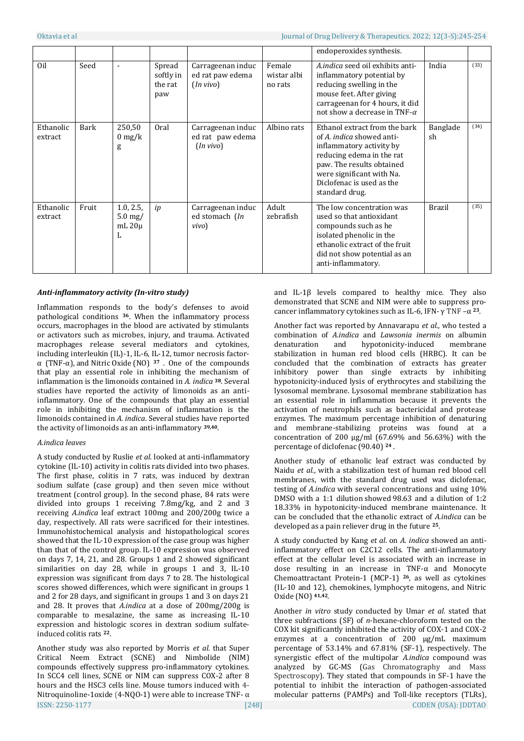|                      |       |                                               |                                       | endoperoxides synthesis.                           |                                  |                                                                                                                                                                                                                                     |                |      |
|----------------------|-------|-----------------------------------------------|---------------------------------------|----------------------------------------------------|----------------------------------|-------------------------------------------------------------------------------------------------------------------------------------------------------------------------------------------------------------------------------------|----------------|------|
| Oil                  | Seed  |                                               | Spread<br>softly in<br>the rat<br>paw | Carrageenan induc<br>ed rat paw edema<br>(In vivo) | Female<br>wistar albi<br>no rats | A.indica seed oil exhibits anti-<br>inflammatory potential by<br>reducing swelling in the<br>mouse feet. After giving<br>carrageenan for 4 hours, it did<br>not show a decrease in TNF- $\alpha$                                    | India          | (33) |
| Ethanolic<br>extract | Bark  | 250,50<br>$0 \frac{\text{mg}}{\text{k}}$<br>g | Oral                                  | Carrageenan induc<br>ed rat paw edema<br>(In vivo) | Albino rats                      | Ethanol extract from the bark<br>of A. <i>indica</i> showed anti-<br>inflammatory activity by<br>reducing edema in the rat<br>paw. The results obtained<br>were significant with Na.<br>Diclofenac is used as the<br>standard drug. | Banglade<br>sh | (34) |
| Ethanolic<br>extract | Fruit | 1.0, 2.5,<br>$5.0$ mg/<br>mL $20\mu$<br>L     | ip                                    | Carrageenan induc<br>ed stomach (In<br>vivo)       | Adult<br>zebrafish               | The low concentration was<br>used so that antioxidant<br>compounds such as he<br>isolated phenolic in the<br>ethanolic extract of the fruit<br>did not show potential as an<br>anti-inflammatory.                                   | <b>Brazil</b>  | (35) |

# *Anti-inflammatory activity (In-vitro study)*

Inflammation responds to the body's defenses to avoid pathological conditions **<sup>36</sup>**. When the inflammatory process occurs, macrophages in the blood are activated by stimulants or activators such as microbes, injury, and trauma. Activated macrophages release several mediators and cytokines, including interleukin (IL)-1, IL-6, IL-12, tumor necrosis factorα (TNF-α), and Nitric Oxide (NO) **<sup>37</sup>** . One of the compounds that play an essential role in inhibiting the mechanism of inflammation is the limonoids contained in *A. indica* **<sup>38</sup>**. Several studies have reported the activity of limonoids as an antiinflammatory. One of the compounds that play an essential role in inhibiting the mechanism of inflammation is the limonoids contained in *A. indica*. Several studies have reported the activity of limonoids as an anti-inflammatory **39,40**.

### *A.indica leaves*

A study conducted by Ruslie *et al.* looked at anti-inflammatory cytokine (IL-10) activity in colitis rats divided into two phases. The first phase, colitis in 7 rats, was induced by dextran sodium sulfate (case group) and then seven mice without treatment (control group). In the second phase, 84 rats were divided into groups 1 receiving 7.8mg/kg, and 2 and 3 receiving *A.indica* leaf extract 100mg and 200/200g twice a day, respectively. All rats were sacrificed for their intestines. Immunohistochemical analysis and histopathological scores showed that the IL-10 expression of the case group was higher than that of the control group. IL-10 expression was observed on days 7, 14, 21, and 28. Groups 1 and 2 showed significant similarities on day 28, while in groups 1 and 3, IL-10 expression was significant from days 7 to 28. The histological scores showed differences, which were significant in groups 1 and 2 for 28 days, and significant in groups 1 and 3 on days 21 and 28. It proves that *A.indica* at a dose of 200mg/200g is comparable to mesalazine, the same as increasing IL-10 expression and histologic scores in dextran sodium sulfateinduced colitis rats **<sup>22</sup>**.

ISSN: 2250-1177 [248] CODEN (USA): JDDTAO Another study was also reported by Morris *et al.* that Super Critical Neem Extract (SCNE) and Nimbolide (NIM) compounds effectively suppress pro-inflammatory cytokines. In SCC4 cell lines, SCNE or NIM can suppress COX-2 after 8 hours and the HSC3 cells line. Mouse tumors induced with **4-** Nitroquinoline-1oxide (4-NQO-1) were able to increase TNF-  $\alpha$ 

and IL-1 $\beta$  levels compared to healthy mice. They also demonstrated that SCNE and NIM were able to suppress procancer inflammatory cytokines such as IL-6, IFN- γ TNF –α **23**.

Another fact was reported by Annavarapu *et al.,* who tested a combination of *A.indica* and *Lawsonia inermis* on albumin denaturation and hypotonicity-induced membrane stabilization in human red blood cells (HRBC). It can be concluded that the combination of extracts has greater inhibitory power than single extracts by inhibiting hypotonicity-induced lysis of erythrocytes and stabilizing the lysosomal membrane. Lysosomal membrane stabilization has an essential role in inflammation because it prevents the activation of neutrophils such as bactericidal and protease enzymes. The maximum percentage inhibition of denaturing and membrane-stabilizing proteins was found at a concentration of 200  $\mu$ g/ml (67.69% and 56.63%) with the percentage of diclofenac (90.40) **<sup>24</sup>** .

Another study of ethanolic leaf extract was conducted by Naidu *et al*., with a stabilization test of human red blood cell membranes, with the standard drug used was diclofenac, testing of *A.indica* with several concentrations and using 10% DMSO with a 1:1 dilution showed 98.63 and a dilution of 1:2 18.33% in hypotonicity-induced membrane maintenance. It can be concluded that the ethanolic extract of *A.indica* can be developed as a pain reliever drug in the future **<sup>25</sup>**.

A study conducted by Kang *et al*. on *A. indica* showed an antiinflammatory effect on C2C12 cells. The anti-inflammatory effect at the cellular level is associated with an increase in dose resulting in an increase in TNF-α and Monocyte Chemoattractant Protein-1 (MCP-1) **<sup>26</sup>**, as well as cytokines (IL-10 and 12), chemokines, lymphocyte mitogens, and Nitric Oxide (NO) **41,42**.

Another *in vitro* study conducted by Umar *et al.* stated that three subfractions (SF) of *n*-hexane-chloroform tested on the COX kit significantly inhibited the activity of COX-1 and COX-2 enzymes at a concentration of 200 µg/mL maximum percentage of 53.14% and 67.81% (SF-1), respectively. The synergistic effect of the multipolar *A.indica* compound was analyzed by GC-MS (Gas Chromatography and Mass Spectroscopy). They stated that compounds in SF-1 have the potential to inhibit the interaction of pathogen-associated molecular patterns (PAMPs) and Toll-like receptors (TLRs),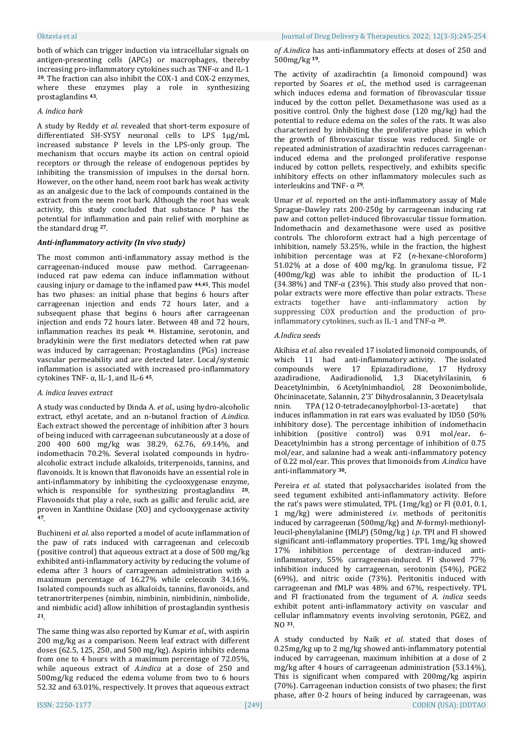both of which can trigger induction via intracellular signals on antigen-presenting cells (APCs) or macrophages, thereby increasing pro-inflammatory cytokines such as  $TNF-\alpha$  and IL-1 **<sup>20</sup>**. The fraction can also inhibit the COX-1 and COX-2 enzymes, where these enzymes play a role in synthesizing prostaglandins **<sup>43</sup>**.

# *A. indica bark*

A study by Reddy *et al.* revealed that short-term exposure of differentiated SH-SY5Y neuronal cells to LPS 1μg/mL increased substance P levels in the LPS-only group. The mechanism that occurs maybe its action on central opioid receptors or through the release of endogenous peptides by inhibiting the transmission of impulses in the dorsal horn. However, on the other hand, neem root bark has weak activity as an analgesic due to the lack of compounds contained in the extract from the neem root bark. Although the root has weak activity, this study concluded that substance P has the potential for inflammation and pain relief with morphine as the standard drug **<sup>27</sup>**.

# *Anti-inflammatory activity (In vivo study)*

The most common anti-inflammatory assay method is the carrageenan-induced mouse paw method. Carrageenaninduced rat paw edema can induce inflammation without causing injury or damage to the inflamed paw **44,45**. This model has two phases: an initial phase that begins 6 hours after carrageenan injection and ends 72 hours later, and a subsequent phase that begins 6 hours after carrageenan injection and ends 72 hours later. Between 48 and 72 hours, inflammation reaches its peak **<sup>46</sup>**. Histamine, serotonin, and bradykinin were the first mediators detected when rat paw was induced by carrageenan; Prostaglandins (PGs) increase vascular permeability and are detected later. Local/systemic inflammation is associated with increased pro-inflammatory cytokines TNF- α, IL-1, and IL-6 **<sup>45</sup>**.

### *A. indica leaves extract*

A study was conducted by Dinda A. *et al.,* using hydro-alcoholic extract, ethyl acetate, and an n-butanol fraction of *A.indica*. Each extract showed the percentage of inhibition after 3 hours of being induced with carrageenan subcutaneously at a dose of 200 400 600 mg/kg was 38.29, 62.76, 69.14%, and indomethacin 70.2%. Several isolated compounds in hydroalcoholic extract include alkaloids, triterpenoids, tannins, and flavonoids. It is known that flavonoids have an essential role in anti-inflammatory by inhibiting the cyclooxygenase enzyme, which is responsible for synthesizing prostaglandins **<sup>28</sup>**. Flavonoids that play a role, such as gallic and ferulic acid, are proven in Xanthine Oxidase (XO) and cyclooxygenase activity **<sup>47</sup>**.

Buchineni *et al.* also reported a model of acute inflammation of the paw of rats induced with carrageenan and celecoxib (positive control) that aqueous extract at a dose of 500 mg/kg exhibited anti-inflammatory activity by reducing the volume of edema after 3 hours of carrageenan administration with a maximum percentage of 16.27% while celecoxib 34.16%. Isolated compounds such as alkaloids, tannins, flavonoids, and tetranortriterpenes (nimbin, nimbinin, nimbidinin, nimbolide, and nimbidic acid) allow inhibition of prostaglandin synthesis **<sup>21</sup>**.

The same thing was also reported by Kumar *et al*., with aspirin 200 mg/kg as a comparison. Neem leaf extract with different doses (62.5, 125, 250, and 500 mg/kg). Aspirin inhibits edema from one to 4 hours with a maximum percentage of 72.05%, while aqueous extract of *A.indica* at a dose of 250 and 500mg/kg reduced the edema volume from two to 6 hours 52.32 and 63.01%, respectively. It proves that aqueous extract *of A.indica* has anti-inflammatory effects at doses of 250 and 500mg/kg **<sup>19</sup>**.

The activity of azadirachtin (a limonoid compound) was reported by Soares *et al*., the method used is carrageenan which induces edema and formation of fibrovascular tissue induced by the cotton pellet. Dexamethasone was used as a positive control. Only the highest dose (120 mg/kg) had the potential to reduce edema on the soles of the rats. It was also characterized by inhibiting the proliferative phase in which the growth of fibrovascular tissue was reduced. Single or repeated administration of azadirachtin reduces carrageenaninduced edema and the prolonged proliferative response induced by cotton pellets, respectively, and exhibits specific inhibitory effects on other inflammatory molecules such as interleukins and TNF- α **<sup>29</sup>**.

Umar *et al.* reported on the anti-inflammatory assay of Male Sprague-Dawley rats 200-250g by carrageenan inducing rat paw and cotton pellet-induced fibrovascular tissue formation. Indomethacin and dexamethasone were used as positive controls. The chloroform extract had a high percentage of inhibition, namely 53.25%, while in the fraction, the highest inhibition percentage was at F2 (*n*-hexane-chloroform) 51.02% at a dose of 400 mg/kg. In granuloma tissue, F2 (400mg/kg) was able to inhibit the production of IL-1 (34.38%) and TNF- $\alpha$  (23%). This study also proved that nonpolar extracts were more effective than polar extracts. These extracts together have anti-inflammatory action by suppressing COX production and the production of proinflammatory cytokines, such as IL-1 and TNF-α **<sup>20</sup>**.

# *A.Indica seeds*

Akihisa *et al.* also revealed 17 isolated limonoid compounds, of which 11 had anti-inflammatory activity. The isolated compounds were 17 Epiazadiradione, 17 Hydroxy azadiradione, Aadiradionolid, 1,3 Diacetylvilasinin, 6 Deacetylnimbin, 6 Acetylnimbandiol, 28 Deoxonimbolide, Ohcininacetate, Salannin, 2'3' Dihydrosalannin, 3 Deacetylsala nnin. TPA (12 O-tetradecanoylphorbol-13-acetate) that induces inflammation in rat ears was evaluated by ID50 (50% inhibitory dose). The percentage inhibition of indomethacin inhibition (positive control) was 0.91 mol/ear**.** 6- Deacetylnimbin has a strong percentage of inhibition of 0.75 mol/ear, and salanine had a weak anti-inflammatory potency of 0.22 mol/ear. This proves that limonoids from *A.indica* have anti-inflammatory **<sup>30</sup>.**

Pereira *et al*. stated that polysaccharides isolated from the seed tegument exhibited anti-inflammatory activity. Before the rat's paws were stimulated, TPL (1mg/kg) or FI (0.01, 0.1, 1 mg/kg) were administered *i.v.* methods of peritonitis induced by carrageenan (500mg/kg) and *N*-formyl-methionylleucil-phenylalanine (fMLP) (50mg/kg ) *i.p*. TPI and FI showed significant anti-inflammatory properties. TPL 1mg/kg showed 17% inhibition percentage of dextran-induced antiinflammatory, 55% carrageenan-induced. FI showed 77% inhibition induced by carrageenan, serotonin (54%), PGE2 (69%), and nitric oxide (73%). Peritonitis induced with carrageenan and fMLP was 48% and 67%, respectively. TPL and FI fractionated from the tegument of *A. indica* seeds exhibit potent anti-inflammatory activity on vascular and cellular inflammatory events involving serotonin, PGE2, and NO **<sup>31</sup>**.

ISSN: 2250-1177 [249] CODEN (USA): JDDTAO A study conducted by Naik *et al*. stated that doses of 0.25mg/kg up to 2 mg/kg showed anti-inflammatory potential induced by carrageenan, maximum inhibition at a dose of 2 mg/kg after 4 hours of carrageenan administration (53.14%), This is significant when compared with 200mg/kg aspirin (70%). Carrageenan induction consists of two phases; the first phase, after 0-2 hours of being induced by carrageenan, was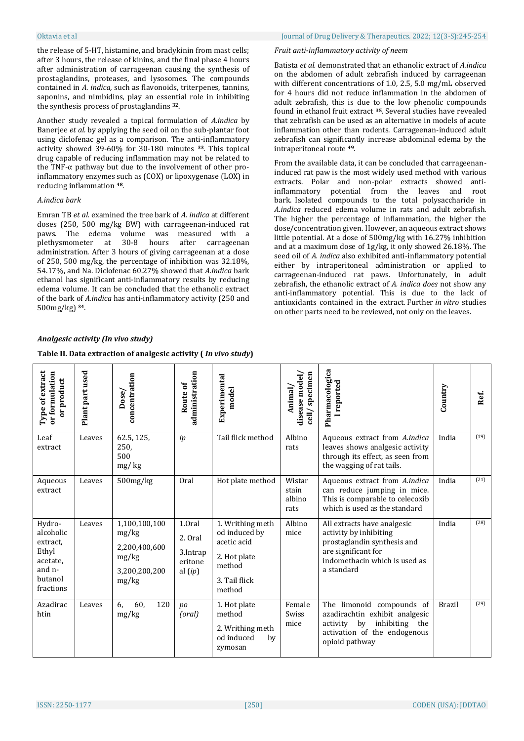the release of 5-HT, histamine, and bradykinin from mast cells; after 3 hours, the release of kinins, and the final phase 4 hours after administration of carrageenan causing the synthesis of prostaglandins, proteases, and lysosomes. The compounds contained in *A. indica,* such as flavonoids, triterpenes, tannins, saponins, and nimbidins, play an essential role in inhibiting the synthesis process of prostaglandins **<sup>32</sup>**.

Another study revealed a topical formulation of *A.indica* by Banerjee *et al.* by applying the seed oil on the sub-plantar foot using diclofenac gel as a comparison. The anti-inflammatory activity showed 39-60% for 30-180 minutes **<sup>33</sup>**. This topical drug capable of reducing inflammation may not be related to the TNF-α pathway but due to the involvement of other proinflammatory enzymes such as (COX) or lipoxygenase (LOX) in reducing inflammation **<sup>48</sup>**.

# *A.indica bark*

Emran TB *et al.* examined the tree bark of *A. indica* at different doses (250, 500 mg/kg BW) with carrageenan-induced rat paws. The edema volume was measured with a plethysmometer at 30-8 hours after carrageenan administration. After 3 hours of giving carrageenan at a dose of 250, 500 mg/kg, the percentage of inhibition was 32.18%, 54.17%, and Na. Diclofenac 60.27% showed that *A.indica* bark ethanol has significant anti-inflammatory results by reducing edema volume. It can be concluded that the ethanolic extract of the bark of *A.indica* has anti-inflammatory activity (250 and 500mg/kg) **<sup>34</sup>**.

#### Oktavia et al Journal of Drug Delivery & Therapeutics. 2022; 12(3-S):245-254

# *Fruit anti-inflammatory activity of neem*

Batista *et al.* demonstrated that an ethanolic extract of *A.indica*  on the abdomen of adult zebrafish induced by carrageenan with different concentrations of 1.0, 2.5, 5.0 mg/mL observed for 4 hours did not reduce inflammation in the abdomen of adult zebrafish, this is due to the low phenolic compounds found in ethanol fruit extract **<sup>35</sup>**. Several studies have revealed that zebrafish can be used as an alternative in models of acute inflammation other than rodents. Carrageenan-induced adult zebrafish can significantly increase abdominal edema by the intraperitoneal route **<sup>49</sup>**.

From the available data, it can be concluded that carrageenaninduced rat paw is the most widely used method with various extracts. Polar and non-polar extracts showed antiinflammatory potential from the leaves and root bark. Isolated compounds to the total polysaccharide in *A.indica* reduced edema volume in rats and adult zebrafish. The higher the percentage of inflammation, the higher the dose/concentration given. However, an aqueous extract shows little potential. At a dose of 500mg/kg with 16.27% inhibition and at a maximum dose of 1g/kg, it only showed 26.18%. The seed oil of *A. indica* also exhibited anti-inflammatory potential either by intraperitoneal administration or applied to carrageenan-induced rat paws. Unfortunately, in adult zebrafish, the ethanolic extract of *A. indica does* not show any anti-inflammatory potential. This is due to the lack of antioxidants contained in the extract. Further *in vitro* studies on other parts need to be reviewed, not only on the leaves.

| Type of extract<br>or formulation<br>product<br>$\overline{5}$                         | Plant part used | concentration<br>Dose/                                                     | administration<br>Route of                            | Experimental<br>model                                                                                 | specimen<br>disease model<br>Animal<br>$c$ ell $/$ | Pharmacologica<br>reported                                                                                                                                 | Country       | Ref. |
|----------------------------------------------------------------------------------------|-----------------|----------------------------------------------------------------------------|-------------------------------------------------------|-------------------------------------------------------------------------------------------------------|----------------------------------------------------|------------------------------------------------------------------------------------------------------------------------------------------------------------|---------------|------|
| Leaf<br>extract                                                                        | Leaves          | 62.5, 125,<br>250,<br>500<br>mg/kg                                         | ip                                                    | Tail flick method                                                                                     | Albino<br>rats                                     | Aqueous extract from A.indica<br>leaves shows analgesic activity<br>through its effect, as seen from<br>the wagging of rat tails.                          | India         | (19) |
| Aqueous<br>extract                                                                     | Leaves          | $500$ mg/ $kg$                                                             | Oral                                                  | Hot plate method                                                                                      | Wistar<br>stain<br>albino<br>rats                  | Aqueous extract from A.indica<br>can reduce jumping in mice.<br>This is comparable to celecoxib<br>which is used as the standard                           | India         | (21) |
| Hydro-<br>alcoholic<br>extract.<br>Ethyl<br>acetate,<br>and n-<br>butanol<br>fractions | Leaves          | 1,100,100,100<br>mg/kg<br>2,200,400,600<br>mg/kg<br>3,200,200,200<br>mg/kg | 1.0ral<br>2. Oral<br>3.Intrap<br>eritone<br>al $(ip)$ | 1. Writhing meth<br>od induced by<br>acetic acid<br>2. Hot plate<br>method<br>3. Tail flick<br>method | Albino<br>mice                                     | All extracts have analgesic<br>activity by inhibiting<br>prostaglandin synthesis and<br>are significant for<br>indomethacin which is used as<br>a standard | India         | (28) |
| Azadirac<br>htin                                                                       | Leaves          | 6.<br>60,<br>120<br>mg/kg                                                  | po<br>(oral)                                          | 1. Hot plate<br>method<br>2. Writhing meth<br>od induced<br>by<br>zymosan                             | Female<br>Swiss<br>mice                            | The limonoid compounds of<br>azadirachtin exhibit analgesic<br>activity by<br>inhibiting the<br>activation of the endogenous<br>opioid pathway             | <b>Brazil</b> | (29) |

# *Analgesic activity (In vivo study)*

# **Table II. Data extraction of analgesic activity (** *In vivo study***)**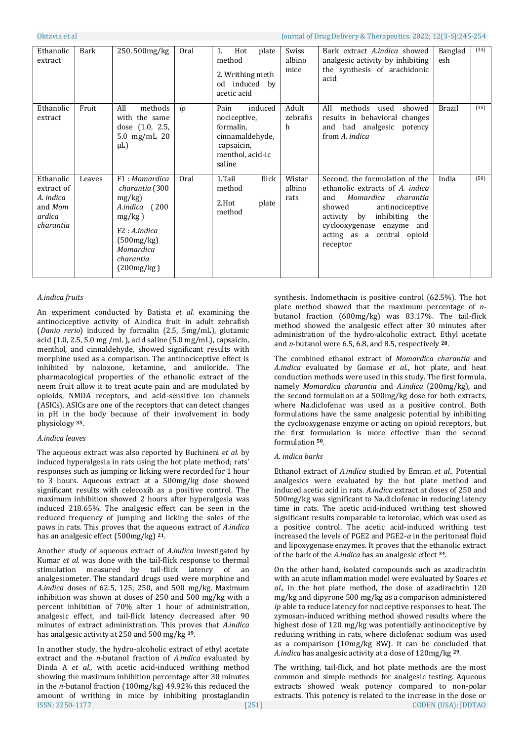| Ethanolic<br>extract                                                   | Bark   | 250,500mg/kg                                                                                                                                        | Oral | Hot<br>1.<br>plate<br>method<br>2. Writhing meth<br>od induced by<br>acetic acid                            | <b>Swiss</b><br>albino<br>mice | Bark extract A.indica showed<br>analgesic activity by inhibiting<br>the synthesis of arachidonic<br>acid                                                                                                                                | Banglad<br>esh | (34) |
|------------------------------------------------------------------------|--------|-----------------------------------------------------------------------------------------------------------------------------------------------------|------|-------------------------------------------------------------------------------------------------------------|--------------------------------|-----------------------------------------------------------------------------------------------------------------------------------------------------------------------------------------------------------------------------------------|----------------|------|
| Ethanolic<br>extract                                                   | Fruit  | All<br>methods<br>with the same<br>dose $(1.0, 2.5,$<br>5.0 $mg/mL$ 20<br>$\mu$ L)                                                                  | ip   | induced<br>Pain<br>nociceptive,<br>formalin,<br>cinnamaldehyde,<br>capsaicin,<br>menthol, acid-ic<br>saline | Adult<br>zebrafis<br>h         | All<br>methods<br>used<br>showed<br>results in behavioral changes<br>and had analgesic<br>potency<br>from A. indica                                                                                                                     | <b>Brazil</b>  | (35) |
| Ethanolic<br>extract of<br>A. indica<br>and Mom<br>ardica<br>charantia | Leaves | F1: Momardica<br>charantia (300<br>mg/kg<br>(200)<br>A.indica<br>$mg/kg$ )<br>F2: A. indicate<br>(500mg/kg)<br>Momardica<br>charantia<br>(200mg/kg) | Oral | 1.Tail<br>flick<br>method<br>2.Hot<br>plate<br>method                                                       | Wistar<br>albino<br>rats       | Second, the formulation of the<br>ethanolic extracts of A. indica<br>Momardica<br>charantia<br>and<br>antinociceptive<br>showed<br>inhibiting the<br>activity by<br>cyclooxygenase enzyme and<br>acting as a central opioid<br>receptor | India          | (50) |

### *A.indica fruits*

An experiment conducted by Batista *et al.* examining the antinociceptive activity of A.indica fruit in adult zebrafish (*Danio rerio*) induced by formalin (2.5, 5mg/mL), glutamic acid (1.0, 2.5, 5.0 mg /mL ), acid saline (5.0 mg/mL), capsaicin, menthol, and cinnaldehyde, showed significant results with morphine used as a comparison. The antinociceptive effect is inhibited by naloxone, ketamine, and amiloride. The pharmacological properties of the ethanolic extract of the neem fruit allow it to treat acute pain and are modulated by opioids, NMDA receptors, and acid-sensitive ion channels (ASICs). ASICs are one of the receptors that can detect changes in pH in the body because of their involvement in body physiology **<sup>35</sup>**.

### *A.indica leaves*

The aqueous extract was also reported by Buchineni *et al.* by induced hyperalgesia in rats using the hot plate method; rats' responses such as jumping or licking were recorded for 1 hour to 3 hours. Aqueous extract at a 500mg/kg dose showed significant results with celecoxib as a positive control. The maximum inhibition showed 2 hours after hyperalgesia was induced 218.65%. The analgesic effect can be seen in the reduced frequency of jumping and licking the soles of the paws in rats. This proves that the aqueous extract of *A.indica* has an analgesic effect (500mg/kg) **<sup>21</sup>**.

Another study of aqueous extract of *A.indica* investigated by Kumar *et al.* was done with the tail-flick response to thermal stimulation measured by tail-flick latency of an analgesiometer. The standard drugs used were morphine and *A.indica* doses of 62.5, 125, 250, and 500 mg/kg. Maximum inhibition was shown at doses of 250 and 500 mg/kg with a percent inhibition of 70% after 1 hour of administration, analgesic effect, and tail-flick latency decreased after 90 minutes of extract administration. This proves that *A.indica* has analgesic activity at 250 and 500 mg/kg **<sup>19</sup>**.

ISSN: 2250-1177 [251] CODEN (USA): JDDTAO In another study, the hydro-alcoholic extract of ethyl acetate extract and the *n*-butanol fraction of *A.indica* evaluated by Dinda A *et al*., with acetic acid-induced writhing method showing the maximum inhibition percentage after 30 minutes in the *n*-butanol fraction (100mg/kg) 49.92% this reduced the amount of writhing in mice by inhibiting prostaglandin

synthesis. Indomethacin is positive control (62.5%). The hot plate method showed that the maximum percentage of *n*butanol fraction (600mg/kg) was 83.17%. The tail-flick method showed the analgesic effect after 30 minutes after administration of the hydro-alcoholic extract. Ethyl acetate and *n*-butanol were 6.5, 6.8, and 8.5, respectively **<sup>28</sup>**.

The combined ethanol extract of *Momardica charantia* and *A.indica* evaluated by Gomase *et al*., hot plate, and heat conduction methods were used in this study. The first formula, namely *Momardica charantia* and *A.indica* (200mg/kg), and the second formulation at a 500mg/kg dose for both extracts, where Na.diclofenac was used as a positive control. Both formulations have the same analgesic potential by inhibiting the cyclooxygenase enzyme or acting on opioid receptors, but the first formulation is more effective than the second formulation **50**.

### *A. indica barks*

Ethanol extract of *A.indica* studied by Emran *et al..* Potential analgesics were evaluated by the hot plate method and induced acetic acid in rats. *A.indica* extract at doses of 250 and 500mg/kg was significant to Na.diclofenac in reducing latency time in rats. The acetic acid-induced writhing test showed significant results comparable to ketorolac, which was used as a positive control. The acetic acid-induced writhing test increased the levels of PGE2 and PGE2- $\alpha$  in the peritoneal fluid and lipoxygenase enzymes. It proves that the ethanolic extract of the bark of the *A.indica* has an analgesic effect **<sup>34</sup>**.

On the other hand, isolated compounds such as azadirachtin with an acute inflammation model were evaluated by Soares *et al*., in the hot plate method, the dose of azadirachtin 120 mg/kg and dipyrone 500 mg/kg as a comparison administered *ip* able to reduce latency for nociceptive responses to heat. The zymosan-induced writhing method showed results where the highest dose of 120 mg/kg was potentially antinociceptive by reducing writhing in rats, where diclofenac sodium was used as a comparison (10mg/kg BW). It can be concluded that *A.indica* has analgesic activity at a dose of 120mg/kg **29**.

The writhing, tail-flick, and hot plate methods are the most common and simple methods for analgesic testing. Aqueous extracts showed weak potency compared to non-polar extracts. This potency is related to the increase in the dose or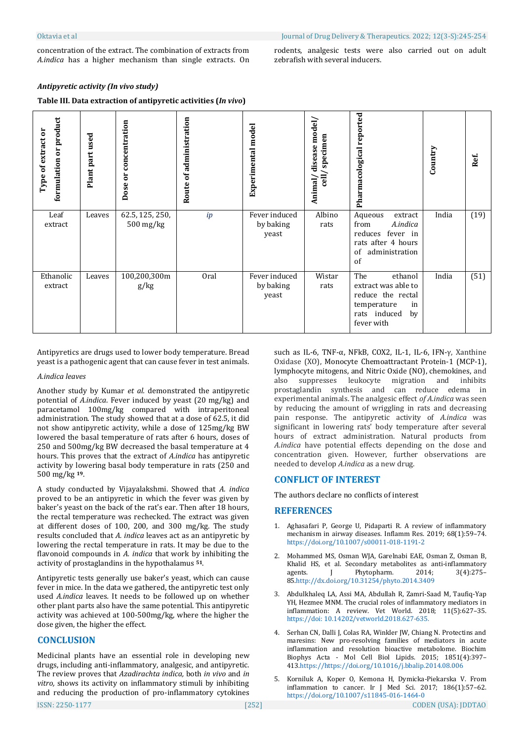concentration of the extract. The combination of extracts from *A.indica* has a higher mechanism than single extracts. On rodents, analgesic tests were also carried out on adult zebrafish with several inducers.

#### *Antipyretic activity (In vivo study)*

# **Table III. Data extraction of antipyretic activities (***In vivo***)**

| formulation or product<br>Type of extract or | Plant part used | concentration<br>ä<br>Dose   | administration<br>ð<br>Route | Experimental model                  | disease model/<br>specimen<br><b>Tieg</b><br>Animal | reported<br>Pharmacological                                                                                         | Country | Ref. |
|----------------------------------------------|-----------------|------------------------------|------------------------------|-------------------------------------|-----------------------------------------------------|---------------------------------------------------------------------------------------------------------------------|---------|------|
| Leaf<br>extract                              | Leaves          | 62.5, 125, 250,<br>500 mg/kg | ip                           | Fever induced<br>by baking<br>yeast | Albino<br>rats                                      | Aqueous<br>extract<br>A.indica<br>from<br>reduces fever in<br>rats after 4 hours<br>administration<br>of<br>of      | India   | (19) |
| Ethanolic<br>extract                         | Leaves          | 100,200,300m<br>g/kg         | Oral                         | Fever induced<br>by baking<br>yeast | Wistar<br>rats                                      | The<br>ethanol<br>extract was able to<br>reduce the rectal<br>temperature<br>in<br>rats induced<br>by<br>fever with | India   | (51) |

Antipyretics are drugs used to lower body temperature. Bread yeast is a pathogenic agent that can cause fever in test animals.

#### *A.indica leaves*

Another study by Kumar *et al.* demonstrated the antipyretic potential of *A.indica*. Fever induced by yeast (20 mg/kg) and paracetamol 100mg/kg compared with intraperitoneal administration. The study showed that at a dose of 62.5, it did not show antipyretic activity, while a dose of 125mg/kg BW lowered the basal temperature of rats after 6 hours, doses of 250 and 500mg/kg BW decreased the basal temperature at 4 hours. This proves that the extract of *A.indica* has antipyretic activity by lowering basal body temperature in rats (250 and 500 mg/kg **19**.

A study conducted by Vijayalakshmi. Showed that *A. indica* proved to be an antipyretic in which the fever was given by baker's yeast on the back of the rat's ear. Then after 18 hours, the rectal temperature was rechecked. The extract was given at different doses of 100, 200, and 300 mg/kg. The study results concluded that *A. indica* leaves act as an antipyretic by lowering the rectal temperature in rats. It may be due to the flavonoid compounds in *A. indica* that work by inhibiting the activity of prostaglandins in the hypothalamus **<sup>51</sup>**.

Antipyretic tests generally use baker's yeast, which can cause fever in mice. In the data we gathered, the antipyretic test only used *A.indica* leaves*.* It needs to be followed up on whether other plant parts also have the same potential. This antipyretic activity was achieved at 100-500mg/kg, where the higher the dose given, the higher the effect.

# **CONCLUSION**

Medicinal plants have an essential role in developing new drugs, including anti-inflammatory, analgesic, and antipyretic. The review proves that *Azadirachta indica,* both *in vivo* and *in vitro,* shows its activity on inflammatory stimuli by inhibiting and reducing the production of pro-inflammatory cytokines such as IL-6, TNF-α, NFkB, COX2, IL-1, IL-6, IFN-γ, Xanthine Oxidase (XO), Monocyte Chemoattractant Protein-1 (MCP-1), lymphocyte mitogens, and Nitric Oxide (NO), chemokines, and also suppresses leukocyte migration and inhibits prostaglandin synthesis and can reduce edema in experimental animals. The analgesic effect *of A.indica* was seen by reducing the amount of wriggling in rats and decreasing pain response. The antipyretic activity of *A.indica* was significant in lowering rats' body temperature after several hours of extract administration. Natural products from *A.indica* have potential effects depending on the dose and concentration given. However, further observations are needed to develop *A.indica* as a new drug.

# **CONFLICT OF INTEREST**

The authors declare no conflicts of interest

### **REFERENCES**

- 1. Aghasafari P, George U, Pidaparti R. A review of inflammatory mechanism in airway diseases. Inflamm Res. 2019; 68(1):59–74. <https://doi.org/10.1007/s00011-018-1191-2>
- 2. Mohammed MS, Osman WJA, Garelnabi EAE, Osman Z, Osman B, Khalid HS, et al. Secondary metabolites as anti-inflammatory agents. J Phytopharm. 2014; 3(4):275– 8[5.http://dx.doi.org/10.31254/phyto.2014.3409](http://dx.doi.org/10.31254/phyto.2014.3409)
- 3. Abdulkhaleq LA, Assi MA, Abdullah R, Zamri-Saad M, Taufiq-Yap YH, Hezmee MNM. The crucial roles of inflammatory mediators in inflammation: A review. Vet World. 2018; 11(5):627–35. [https://doi: 10.14202/vetworld.2018.627-635.](https://doi:%2010.14202/vetworld.2018.627-635.)
- 4. Serhan CN, Dalli J, Colas RA, Winkler JW, Chiang N. Protectins and maresins: New pro-resolving families of mediators in acute inflammation and resolution bioactive metabolome. Biochim Biophys Acta - Mol Cell Biol Lipids. 2015; 1851(4):397– 41[3.https://https://doi.org/10.1016/j.bbalip.2014.08.006](https://https/doi.org/10.1016/j.bbalip.2014.08.006)
- 5. Korniluk A, Koper O, Kemona H, Dymicka-Piekarska V. From inflammation to cancer. Ir J Med Sci. 2017; 186(1):57–62. <https://doi.org/10.1007/s11845-016-1464-0>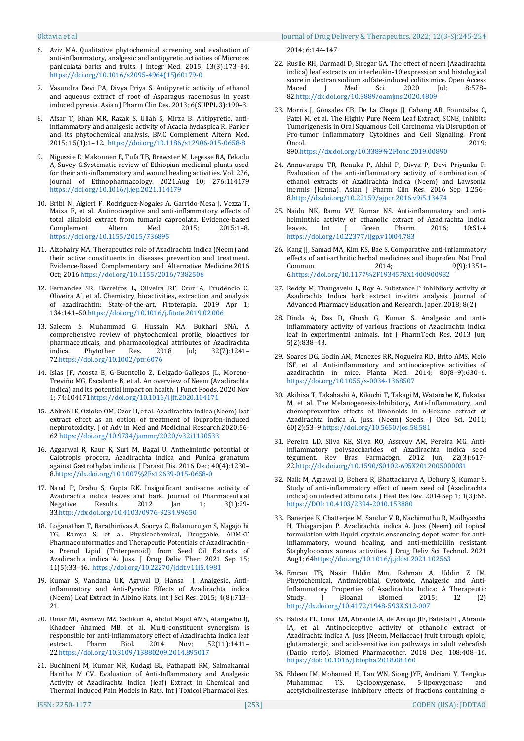- 6. Aziz MA. Qualitative phytochemical screening and evaluation of anti-inflammatory, analgesic and antipyretic activities of Microcos paniculata barks and fruits. J Integr Med. 2015; 13(3):173–84. [https://doi.org/10.1016/s2095-4964\(15\)60179-0](https://doi.org/10.1016/s2095-4964(15)60179-0)
- 7. Vasundra Devi PA, Divya Priya S. Antipyretic activity of ethanol and aqueous extract of root of Asparagus racemosus in yeast induced pyrexia. Asian J Pharm Clin Res. 2013; 6(SUPPL.3):190–3.
- 8. Afsar T, Khan MR, Razak S, Ullah S, Mirza B. Antipyretic, antiinflammatory and analgesic activity of Acacia hydaspica R. Parker and its phytochemical analysis. BMC Complement Altern Med. 2015; 15(1):1–12.<https://doi.org/10.1186/s12906-015-0658-8>
- 9. Nigussie D, Makonnen E, Tufa TB, Brewster M, Legesse BA, Fekadu A, Savey G.Systematic review of Ethiopian medicinal plants used for their anti-inflammatory and wound healing activities. Vol. 276, Journal of Ethnopharmacology. 2021.Aug 10; 276:114179 <https://doi.org/10.1016/j.jep.2021.114179>
- 10. Bribi N, Algieri F, Rodriguez-Nogales A, Garrido-Mesa J, Vezza T, Maiza F, et al. Antinociceptive and anti-inflammatory effects of total alkaloid extract from fumaria capreolata. Evidence-based Complement Altern Med. 2015; 2015:1–8. <https://doi.org/10.1155/2015/736895>
- 11. Alzohairy MA. Therapeutics role of Azadirachta indica (Neem) and their active constituents in diseases prevention and treatment. Evidence-Based Complementary and Alternative Medicine.2016 Oct; 2016 <https://doi.org/10.1155/2016/7382506>
- 12. Fernandes SR, Barreiros L, Oliveira RF, Cruz A, Prudêncio C, Oliveira AI, et al. Chemistry, bioactivities, extraction and analysis of azadirachtin: State-of-the-art. Fitoterapia. 2019 Apr 1; 134:141–5[0.https://doi.org/10.1016/j.fitote.2019.02.006](https://doi.org/10.1016/j.fitote.2019.02.006)
- 13. Saleem S, Muhammad G, Hussain MA, Bukhari SNA. A comprehensive review of phytochemical profile, bioactives for pharmaceuticals, and pharmacological attributes of Azadirachta<br>
indica. Phytother Res. 2018 Jul; 32(7):1241indica. Phytother Res. 2018 Jul; 32(7):1241– 7[2.https://doi.org/10.1002/ptr.6076](https://doi.org/10.1002/ptr.6076)
- 14. Islas JF, Acosta E, G-Buentello Z, Delgado-Gallegos JL, Moreno-Treviño MG, Escalante B, et al. An overview of Neem (Azadirachta indica) and its potential impact on health. J Funct Foods. 2020 Nov 1; 74:10417[1https://doi.org/10.1016/j.jff.2020.104171](https://doi.org/10.1016/j.jff.2020.104171)
- 15. Abireh IE, Ozioko OM, Ozor II, et al. Azadirachta indica (Neem) leaf extract effect as an option of treatment of ibuprofen-induced nephrotoxicity. J of Adv in Med and Medicinal Research.2020:56- 62 <https://doi.org/10.9734/jammr/2020/v32i1130533>
- 16. Aggarwal R, Kaur K, Suri M, Bagai U. Anthelmintic potential of Calotropis procera, Azadirachta indica and Punica granatum against Gastrothylax indicus. J Parasit Dis. 2016 Dec; 40(4):1230– [8.https://dx.doi.org/10.1007%2Fs12639-015-0658-0](https://dx.doi.org/10.1007%2Fs12639-015-0658-0)
- 17. Nand P, Drabu S, Gupta RK. Insignificant anti-acne activity of Azadirachta indica leaves and bark. Journal of Pharmaceutical<br>Negative Results. 2012 Jan 1: 3(1):29-Negative Results. 2012 Jan 1; 3(1):29-3[3.http://dx.doi.org/10.4103/0976-9234.99650](http://dx.doi.org/10.4103/0976-9234.99650)
- 18. Loganathan T, Barathinivas A, Soorya C, Balamurugan S, Nagajothi TG, Ramya S, et al. Physicochemical, Druggable, ADMET Pharmacoinformatics and Therapeutic Potentials of Azadirachtin a Prenol Lipid (Triterpenoid) from Seed Oil Extracts of Azadirachta indica A. Juss. J Drug Deliv Ther. 2021 Sep 15; 11(5):33–46.<https://doi.org/10.22270/jddt.v11i5.4981>
- 19. Kumar S, Vandana UK, Agrwal D, Hansa J. Analgesic, Antiinflammatory and Anti-Pyretic Effects of Azadirachta indica (Neem) Leaf Extract in Albino Rats. Int J Sci Res. 2015; 4(8):713– 21.
- 20. Umar MI, Asmawi MZ, Sadikun A, Abdul Majid AMS, Atangwho IJ, Khadeer Ahamed MB, et al. Multi-constituent synergism is responsible for anti-inflammatory effect of Azadirachta indica leaf extract. Pharm Biol. 2014 Nov; 52(11):1411– 2[2.https://doi.org/10.3109/13880209.2014.895017](https://doi.org/10.3109/13880209.2014.895017)
- 21. Buchineni M, Kumar MR, Kudagi BL, Pathapati RM, Salmakamal Haritha M CV. Evaluation of Anti-Inflammatory and Analgesic Activity of Azadirachta Indica (leaf) Extract in Chemical and Thermal Induced Pain Models in Rats. Int J Toxicol Pharmacol Res.

2014; 6:144-147

- 22. Ruslie RH, Darmadi D, Siregar GA. The effect of neem (Azadirachta indica) leaf extracts on interleukin-10 expression and histological score in dextran sodium sulfate-induced colitis mice. Open Access Maced J Med Sci. 2020 Jul; 8:578– 8[2.http://dx.doi.org/10.3889/oamjms.2020.4809](http://dx.doi.org/10.3889/oamjms.2020.4809)
- 23. Morris J, Gonzales CB, De La Chapa JJ, Cabang AB, Fountzilas C, Patel M, et al. The Highly Pure Neem Leaf Extract, SCNE, Inhibits Tumorigenesis in Oral Squamous Cell Carcinoma via Disruption of Pro-tumor Inflammatory Cytokines and Cell Signaling. Front Oncol. 2019; 89[0.https://dx.doi.org/10.3389%2Ffonc.2019.00890](https://dx.doi.org/10.3389%2Ffonc.2019.00890)
- 24. Annavarapu TR, Renuka P, Akhil P, Divya P, Devi Priyanka P. Evaluation of the anti-inflammatory activity of combination of ethanol extracts of Azadirachta indica (Neem) and Lawsonia inermis (Henna). Asian J Pharm Clin Res. 2016 Sep 1:256– [8.http://dx.doi.org/10.22159/ajpcr.2016.v9i5.13474](http://dx.doi.org/10.22159/ajpcr.2016.v9i5.13474)
- 25. Naidu NK, Ramu VV, Kumar NS. Anti-inflammatory and antihelminthic activity of ethanolic extract of Azadirachta Indica leaves. Int J Green Pharm. 2016; 10:S1-4 <https://doi.org/10.22377/ijgp.v10i04.783>
- 26. Kang JJ, Samad MA, Kim KS, Bae S. Comparative anti-inflammatory effects of anti-arthritic herbal medicines and ibuprofen. Nat Prod Commun. 2014: 9(9):1351-[6.https://doi.org/10.1177%2F1934578X1400900932](https://doi.org/10.1177%2F1934578X1400900932)
- 27. Reddy M, Thangavelu L, Roy A. Substance P inhibitory activity of Azadirachta Indica bark extract in-vitro analysis. Journal of Advanced Pharmacy Education and Research. Japer. 2018; 8(2)
- 28. Dinda A, Das D, Ghosh G, Kumar S. Analgesic and antiinflammatory activity of various fractions of Azadirachta indica leaf in experimental animals. Int J PharmTech Res. 2013 Jun; 5(2):838–43.
- 29. Soares DG, Godin AM, Menezes RR, Nogueira RD, Brito AMS, Melo ISF, et al. Anti-inflammatory and antinociceptive activities of azadirachtin in mice. Planta Med. 2014; 80(8–9):630–6. <https://doi.org/10.1055/s-0034-1368507>
- 30. Akihisa T, Takahashi A, Kikuchi T, Takagi M, Watanabe K, Fukatsu M, et al. The Melanogenesis-Inhibitory, Anti-Inflammatory, and chemopreventive effects of limonoids in n-Hexane extract of Azadirachta indica A. Juss. (Neem) Seeds. J Oleo Sci. 2011; 60(2):53–[9 https://doi.org/10.5650/jos.58.581](https://doi.org/10.5650/jos.58.581)
- 31. Pereira LD, Silva KE, Silva RO, Assreuy AM, Pereira MG. Antiinflammatory polysaccharides of Azadirachta indica seed tegument. Rev Bras Farmacogn. 2012 Jun; 22(3):617– 2[2.http://dx.doi.org/10.1590/S0102-695X2012005000031](http://dx.doi.org/10.1590/S0102-695X2012005000031)
- 32. Naik M, Agrawal D, Behera R, Bhattacharya A, Dehury S, Kumar S. Study of anti-inflammatory effect of neem seed oil (Azadirachta indica) on infected albino rats. J Heal Res Rev. 2014 Sep 1; 1(3):66. [https://DOI: 10.4103/2394-2010.153880](https://DOI:%2010.4103/2394-2010.153880)
- 33. Banerjee K, Chatterjee M, Sandur V R, Nachimuthu R, Madhyastha H, Thiagarajan P. Azadirachta indica A. Juss (Neem) oil topical formulation with liquid crystals ensconcing depot water for antiinflammatory, wound healing, and anti-methicillin resistant Staphylococcus aureus activities. J Drug Deliv Sci Technol. 2021 Aug1; 6[4https://doi.org/10.1016/j.jddst.2021.102563](https://doi.org/10.1016/j.jddst.2021.102563)
- 34. Emran TB, Nasir Uddin Mm, Rahman A, Uddin Z IM. Phytochemical, Antimicrobial, Cytotoxic, Analgesic and Anti-Inflammatory Properties of Azadirachta Indica: A Therapeutic Study. J Bioanal Biomed. 2015; 12 (2) <http://dx.doi.org/10.4172/1948-593X.S12-007>
- 35. Batista FL, Lima LM, Abrante IA, de Araújo JIF, Batista FL, Abrante IA, et al. Antinociceptive activity of ethanolic extract of Azadirachta indica A. Juss (Neem, Meliaceae) fruit through opioid, glutamatergic, and acid-sensitive ion pathways in adult zebrafish (Danio rerio). Biomed Pharmacother. 2018 Dec; 108:408–16. [https://doi: 10.1016/j.biopha.2018.08.160](https://doi:%2010.1016/j.biopha.2018.08.160)
- 36. Eldeen IM, Mohamed H, Tan WN, Siong JYF, Andriani Y, Tengku-Muhammad TS. Cyclooxygenase, 5-lipoxygenase and acetylcholinesterase inhibitory effects of fractions containing α-